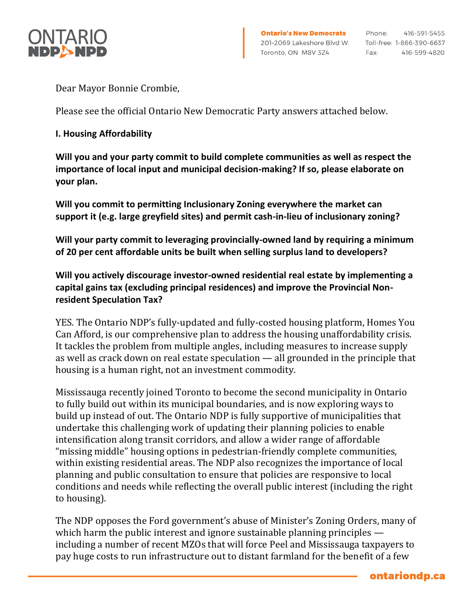

Dear Mayor Bonnie Crombie,

Please see the official Ontario New Democratic Party answers attached below.

## **I. Housing Affordability**

**Will you and your party commit to build complete communities as well as respect the importance of local input and municipal decision-making? If so, please elaborate on your plan.**

**Will you commit to permitting Inclusionary Zoning everywhere the market can support it (e.g. large greyfield sites) and permit cash-in-lieu of inclusionary zoning?**

**Will your party commit to leveraging provincially-owned land by requiring a minimum of 20 per cent affordable units be built when selling surplus land to developers?**

**Will you actively discourage investor-owned residential real estate by implementing a capital gains tax (excluding principal residences) and improve the Provincial Nonresident Speculation Tax?**

YES. The Ontario NDP's fully-updated and fully-costed housing platform, Homes You Can Afford, is our comprehensive plan to address the housing unaffordability crisis. It tackles the problem from multiple angles, including measures to increase supply as well as crack down on real estate speculation — all grounded in the principle that housing is a human right, not an investment commodity.

Mississauga recently joined Toronto to become the second municipality in Ontario to fully build out within its municipal boundaries, and is now exploring ways to build up instead of out. The Ontario NDP is fully supportive of municipalities that undertake this challenging work of updating their planning policies to enable intensification along transit corridors, and allow a wider range of affordable "missing middle" housing options in pedestrian-friendly complete communities, within existing residential areas. The NDP also recognizes the importance of local planning and public consultation to ensure that policies are responsive to local conditions and needs while reflecting the overall public interest (including the right to housing).

The NDP opposes the Ford government's abuse of Minister's Zoning Orders, many of which harm the public interest and ignore sustainable planning principles including a number of recent MZOs that will force Peel and Mississauga taxpayers to pay huge costs to run infrastructure out to distant farmland for the benefit of a few

ontariondp.ca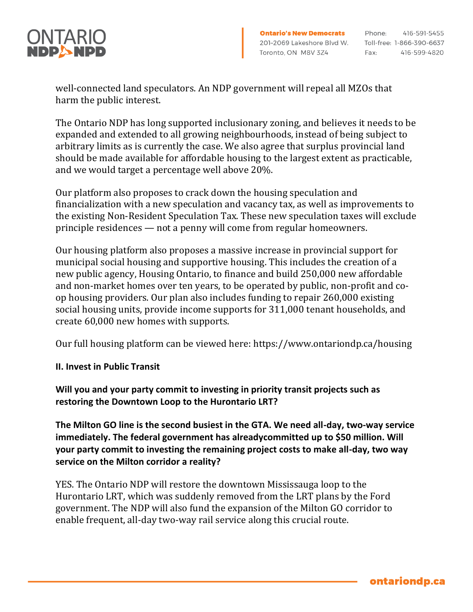

416-591-5455

ontariondp.ca

well-connected land speculators. An NDP government will repeal all MZOs that harm the public interest.

The Ontario NDP has long supported inclusionary zoning, and believes it needs to be expanded and extended to all growing neighbourhoods, instead of being subject to arbitrary limits as is currently the case. We also agree that surplus provincial land should be made available for affordable housing to the largest extent as practicable, and we would target a percentage well above 20%.

Our platform also proposes to crack down the housing speculation and financialization with a new speculation and vacancy tax, as well as improvements to the existing Non-Resident Speculation Tax. These new speculation taxes will exclude principle residences — not a penny will come from regular homeowners.

Our housing platform also proposes a massive increase in provincial support for municipal social housing and supportive housing. This includes the creation of a new public agency, Housing Ontario, to finance and build 250,000 new affordable and non-market homes over ten years, to be operated by public, non-profit and coop housing providers. Our plan also includes funding to repair 260,000 existing social housing units, provide income supports for 311,000 tenant households, and create 60,000 new homes with supports.

Our full housing platform can be viewed here: https://www.ontariondp.ca/housing

## **II. Invest in Public Transit**

**Will you and your party commit to investing in priority transit projects such as restoring the Downtown Loop to the Hurontario LRT?**

**The Milton GO line is the second busiest in the GTA. We need all-day, two-way service immediately. The federal government has alreadycommitted up to \$50 million. Will your party commit to investing the remaining project costs to make all-day, two way service on the Milton corridor a reality?**

YES. The Ontario NDP will restore the downtown Mississauga loop to the Hurontario LRT, which was suddenly removed from the LRT plans by the Ford government. The NDP will also fund the expansion of the Milton GO corridor to enable frequent, all-day two-way rail service along this crucial route.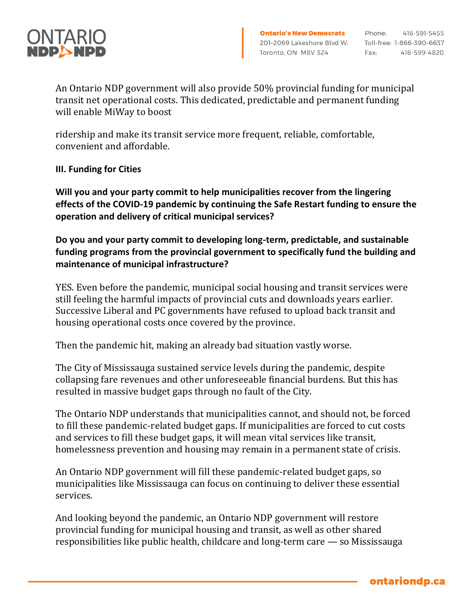

An Ontario NDP government will also provide 50% provincial funding for municipal transit net operational costs. This dedicated, predictable and permanent funding will enable MiWay to boost

ridership and make its transit service more frequent, reliable, comfortable, convenient and affordable.

## **III. Funding for Cities**

**Will you and your party commit to help municipalities recover from the lingering effects of the COVID-19 pandemic by continuing the Safe Restart funding to ensure the operation and delivery of critical municipal services?**

**Do you and your party commit to developing long-term, predictable, and sustainable funding programs from the provincial government to specifically fund the building and maintenance of municipal infrastructure?**

YES. Even before the pandemic, municipal social housing and transit services were still feeling the harmful impacts of provincial cuts and downloads years earlier. Successive Liberal and PC governments have refused to upload back transit and housing operational costs once covered by the province.

Then the pandemic hit, making an already bad situation vastly worse.

The City of Mississauga sustained service levels during the pandemic, despite collapsing fare revenues and other unforeseeable financial burdens. But this has resulted in massive budget gaps through no fault of the City.

The Ontario NDP understands that municipalities cannot, and should not, be forced to fill these pandemic-related budget gaps. If municipalities are forced to cut costs and services to fill these budget gaps, it will mean vital services like transit, homelessness prevention and housing may remain in a permanent state of crisis.

An Ontario NDP government will fill these pandemic-related budget gaps, so municipalities like Mississauga can focus on continuing to deliver these essential services.

And looking beyond the pandemic, an Ontario NDP government will restore provincial funding for municipal housing and transit, as well as other shared responsibilities like public health, childcare and long-term care — so Mississauga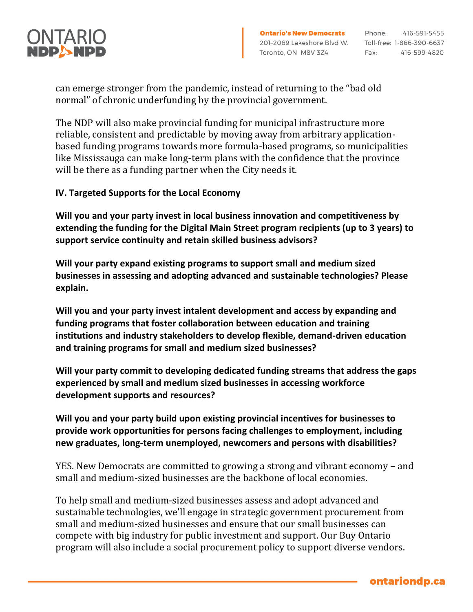

416-591-5455 Fax: 416-599-4820

can emerge stronger from the pandemic, instead of returning to the "bad old normal" of chronic underfunding by the provincial government.

The NDP will also make provincial funding for municipal infrastructure more reliable, consistent and predictable by moving away from arbitrary applicationbased funding programs towards more formula-based programs, so municipalities like Mississauga can make long-term plans with the confidence that the province will be there as a funding partner when the City needs it.

## **IV. Targeted Supports for the Local Economy**

**Will you and your party invest in local business innovation and competitiveness by extending the funding for the Digital Main Street program recipients (up to 3 years) to support service continuity and retain skilled business advisors?**

**Will your party expand existing programs to support small and medium sized businesses in assessing and adopting advanced and sustainable technologies? Please explain.**

**Will you and your party invest intalent development and access by expanding and funding programs that foster collaboration between education and training institutions and industry stakeholders to develop flexible, demand-driven education and training programs for small and medium sized businesses?**

**Will your party commit to developing dedicated funding streams that address the gaps experienced by small and medium sized businesses in accessing workforce development supports and resources?**

**Will you and your party build upon existing provincial incentives for businesses to provide work opportunities for persons facing challenges to employment, including new graduates, long-term unemployed, newcomers and persons with disabilities?**

YES. New Democrats are committed to growing a strong and vibrant economy – and small and medium-sized businesses are the backbone of local economies.

To help small and medium-sized businesses assess and adopt advanced and sustainable technologies, we'll engage in strategic government procurement from small and medium-sized businesses and ensure that our small businesses can compete with big industry for public investment and support. Our Buy Ontario program will also include a social procurement policy to support diverse vendors.